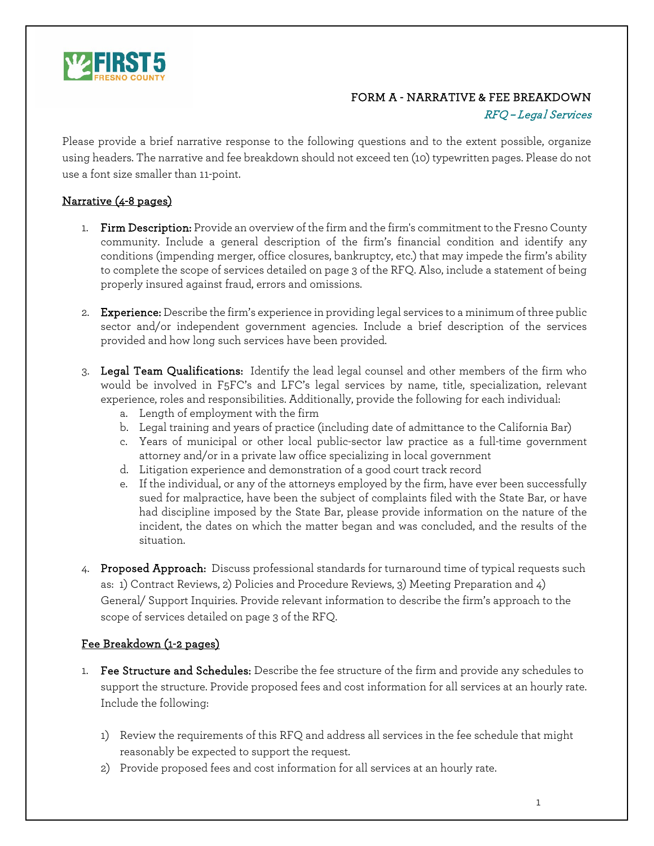

## FORM A - NARRATIVE & FEE BREAKDOWN

## RFQ – Legal Services

Please provide a brief narrative response to the following questions and to the extent possible, organize using headers. The narrative and fee breakdown should not exceed ten (10) typewritten pages. Please do not use a font size smaller than 11-point.

## Narrative (4-8 pages)

- 1. Firm Description: Provide an overview of the firm and the firm's commitment to the Fresno County community. Include a general description of the firm's financial condition and identify any conditions (impending merger, office closures, bankruptcy, etc.) that may impede the firm's ability to complete the scope of services detailed on page 3 of the RFQ. Also, include a statement of being properly insured against fraud, errors and omissions.
- 2. Experience: Describe the firm's experience in providing legal services to a minimum of three public sector and/or independent government agencies. Include a brief description of the services provided and how long such services have been provided.
- 3. Legal Team Qualifications: Identify the lead legal counsel and other members of the firm who would be involved in F5FC's and LFC's legal services by name, title, specialization, relevant experience, roles and responsibilities. Additionally, provide the following for each individual:
	- a. Length of employment with the firm
	- b. Legal training and years of practice (including date of admittance to the California Bar)
	- c. Years of municipal or other local public-sector law practice as a full-time government attorney and/or in a private law office specializing in local government
	- d. Litigation experience and demonstration of a good court track record
	- e. If the individual, or any of the attorneys employed by the firm, have ever been successfully sued for malpractice, have been the subject of complaints filed with the State Bar, or have had discipline imposed by the State Bar, please provide information on the nature of the incident, the dates on which the matter began and was concluded, and the results of the situation.
- 4. Proposed Approach: Discuss professional standards for turnaround time of typical requests such as: 1) Contract Reviews, 2) Policies and Procedure Reviews, 3) Meeting Preparation and 4) General/ Support Inquiries. Provide relevant information to describe the firm's approach to the scope of services detailed on page 3 of the RFQ.

## Fee Breakdown (1-2 pages)

- 1. Fee Structure and Schedules: Describe the fee structure of the firm and provide any schedules to support the structure. Provide proposed fees and cost information for all services at an hourly rate. Include the following:
	- 1) Review the requirements of this RFQ and address all services in the fee schedule that might reasonably be expected to support the request.
	- 2) Provide proposed fees and cost information for all services at an hourly rate.